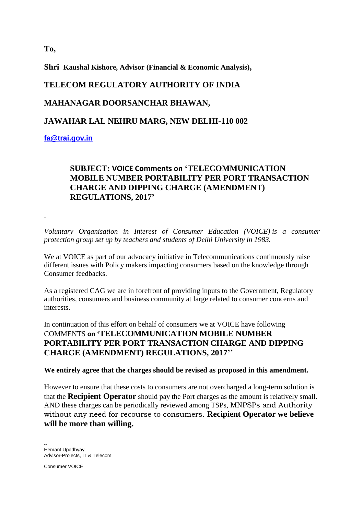**To,**

**Shri Kaushal Kishore, Advisor (Financial & Economic Analysis),**

# **TELECOM REGULATORY AUTHORITY OF INDIA**

### **MAHANAGAR DOORSANCHAR BHAWAN,**

#### **JAWAHAR LAL NEHRU MARG, NEW DELHI-110 002**

**[fa@trai.gov.in](javascript:main.compose()**

## **SUBJECT: VOICE Comments on 'TELECOMMUNICATION MOBILE NUMBER PORTABILITY PER PORT TRANSACTION CHARGE AND DIPPING CHARGE (AMENDMENT) REGULATIONS, 2017'**

*Voluntary Organisation in Interest of Consumer Education (VOICE) is a consumer protection group set up by teachers and students of Delhi University in 1983.*

We at VOICE as part of our advocacy initiative in Telecommunications continuously raise different issues with Policy makers impacting consumers based on the knowledge through Consumer feedbacks.

As a registered CAG we are in forefront of providing inputs to the Government, Regulatory authorities, consumers and business community at large related to consumer concerns and interests.

In continuation of this effort on behalf of consumers we at VOICE have following COMMENTS **on 'TELECOMMUNICATION MOBILE NUMBER PORTABILITY PER PORT TRANSACTION CHARGE AND DIPPING CHARGE (AMENDMENT) REGULATIONS, 2017''**

#### **We entirely agree that the charges should be revised as proposed in this amendment.**

However to ensure that these costs to consumers are not overcharged a long-term solution is that the **Recipient Operator** should pay the Port charges as the amount is relatively small. AND these charges can be periodically reviewed among TSPs, MNPSPs and Authority without any need for recourse to consumers. **Recipient Operator we believe will be more than willing.**

-- Hemant Upadhyay Advisor-Projects, IT & Telecom

Consumer VOICE